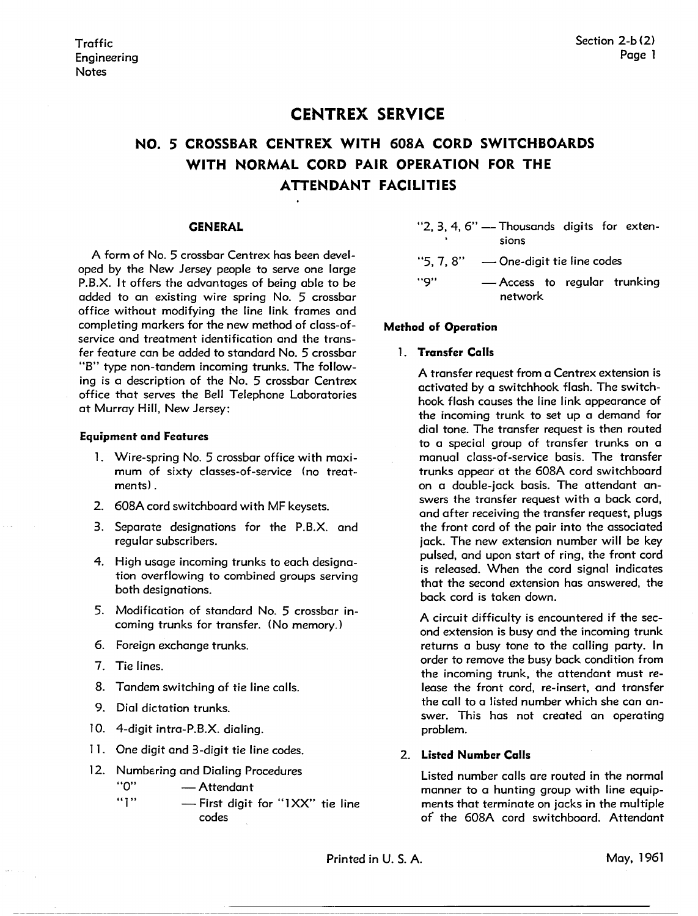# **CENTREX SERVICE**

# **NO. 5 CROSSBAR CENTREX WITH 608A CORD SWITCHBOARDS WITH NORMAL CORD PAIR OPERATION FOR THE ATTENDANT FACILITIES**

#### **CENERAL**

A form of No. 5 crossbar Centrex has been developed by the New Jersey people to serve one large P.B.X. It offers the advantages of being able to be added to an existing wire spring No. 5 crossbar office without modifying the line link frames and completing markers for the new method of class-ofservice and treatment identification and the transfer feature can be added to standard No. 5 crossbar "B" type non-tandem incoming trunks. The following is a description of the No. 5 crossbar Centrex office that serves the Bell Telephone Laboratories at Murray Hill, New Jersey:

#### **Equipment and Features**

- 1. Wire-spring No. 5 crossbar office with maximum of sixty classes-of-service (no treatments).
- 2. 608A cord switchboard with MF keysets.
- 3. Separate designations for the **P.B.X.** and regular subscribers.
- 4. High usage incoming trunks to each designation overflowing to combined groups serving both designations.
- 5. Modification of standard No. 5 crossbar incoming trunks for transfer. ( No memory.)
- 6. Foreign exchange trunks.
- 7. Tie lines.
- 8. Tandem switching of tie line calls.
- 9. Dial dictation trunks.
- l 0. 4-digit intra-P.B.X. dialing.
- 11. One digit and 3-digit tie line codes.
- 12. Numbering and Dialing Procedures

"O" - Attendant

"1" - First digit for "1 XX" tie line codes

"2, 3, 4, 6" - Thousands digits for extensions

- " $5, 7, 8" \longrightarrow$  One-digit tie line codes "9" - Access to regular trunking
	- network

#### **Method of Operation**

#### 1. **Transfer Calls**

A transfer request from a Centrex extension is activated by a switchhook flash. The switchhook flash causes the line link appearance of the incoming trunk to set up a demand for dial tone. The transfer request is then routed to a special group of transfer trunks on a manual class-of-service basis. The transfer trunks appear at the 608A cord switchboard on a double-jack basis. The attendant answers the transfer request with a back cord, and after receiving the transfer request, plugs the front cord of the pair into the associated jack. The new extension number will be key pulsed, and upon start of ring, the front cord is released. When the cord signal indicates that the second extension has answered, the back cord is taken down.

A circuit difficulty is encountered if the second extension is busy and the incoming trunk returns a busy tone to the calling party. In order to remove the busy back condition from the incoming trunk, the attendant must release the front cord, re-insert, and transfer the call to a listed number which she can answer. This has not created an operating problem.

#### 2. **Listed Number Calls**

Listed number calls are routed in the normal manner to a hunting group with line equipments that terminate on jacks in the multiple of the 608A cord switchboard. Attendant

Printed in U.S.A. May, 1961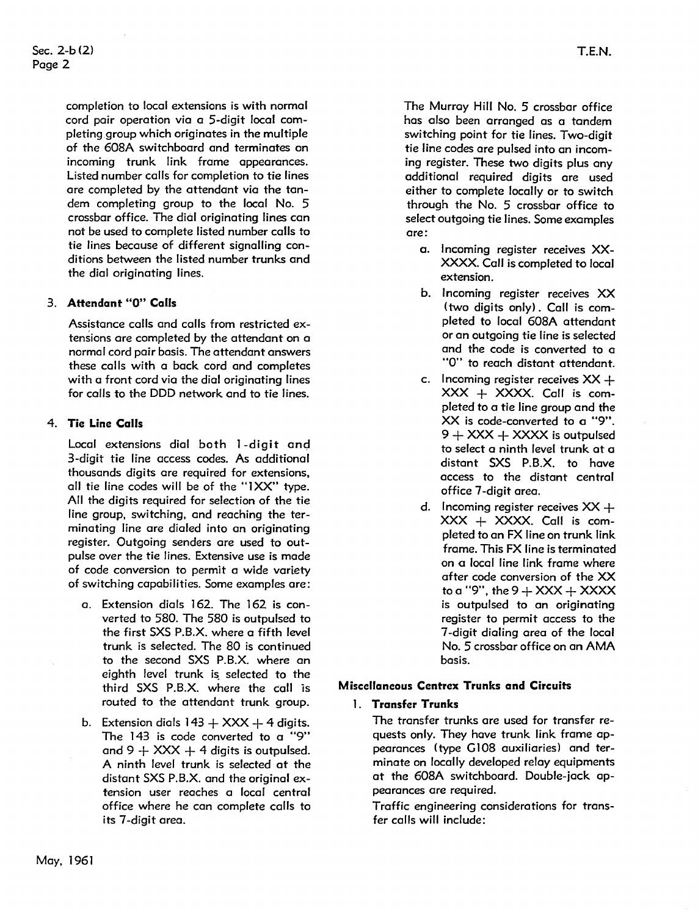completion to local extensions is with normal cord pair operation via a 5-digit local completing group which originates in the multiple of the 608A switchboard and terminates on incoming trunk link frame appearances. Listed number calls for completion to tie lines are completed by the attendant via the tandem completing group to the local No. 5 crossbar office. The dial originating lines can not be used to complete listed number calls to tie lines because of different signalling conditions between the listed number trunks and the dial originating lines.

#### 3. **Attendant "O" Calls**

Assistance calls and calls from restricted extensions are completed by the attendant on a normal cord pair basis. The attendant answers these calls with a back cord and completes with a front cord via the dial originating lines for calls to the DDD network and to tie lines.

#### 4. **Tie Line Calls**

Local extensions dial both 1 -digit and 3-digit tie line access codes. As additional thousands digits are required for extensions, all tie line codes will be of the "1XX" type. All the digits required for selection of the tie line group, switching, and reaching the terminating line are dialed into an originating register. Outgoing senders are used to outpulse over the tie lines. Extensive use is made of code conversion to permit a wide variety of switching capabilities. Some examples are:

- a. Extension dials 162. The 162 is converted to 580. The 580 is outpulsed to the first SXS P.B.X. where a fifth level trunk is selected. The 80 is continued to the second SXS P.B.X. where an eighth level trunk is selected to the third SXS P.B.X. where the call is routed to the attendant trunk group.
- b. Extension dials  $143 + XXX + 4$  digits. The 143 is code converted to a "9" and  $9 + XXX + 4$  digits is outpulsed. A ninth level trunk is selected at the distant SXS P.B.X. and the original extension user reaches a local central office where he can complete calls to its 7-digit area.

The Murray Hill No. 5 crossbar office has also been arranged as a tandem switching point for tie lines. Two-digit tie line codes are pulsed into an incoming register. These two digits plus any additional required digits are used either to complete locally or to switch through the No. 5 crossbar office to select outgoing tie lines. Some examples are:

- a. Incoming register receives XX-XXXX. Call is completed to local extension.
- b. Incoming register receives XX ( two digits only) . Call is completed to local 608A attendant or an outgoing tie line is selected and the code is converted to a "O" to reach distant attendant.
- c. Incoming register receives  $XX +$ **XXX** + XXXX. Call is completed to a tie line group and the XX is code-converted to a "9". <sup>9</sup>+ **XXX** + XXXX is outpulsed to select a ninth level trunk at a distant SXS P.B.X. to have access to the distant central office 7-digit area.
- d. Incoming register receives  $XX +$  $XXX + XXXX$ . Call is completed to an FX line on trunk link frame. This FX line is terminated on a local line link frame where after code conversion of the XX to a "9", the  $9 + XXX + XXX$ is outpulsed to an originating register to permit access to the 7-digit dialing area of the local No. 5 crossbar office on an AMA basis.

#### **Miscellaneous Centrex Trunks and Circuits**

# 1. **Transfer Trunks**

The transfer trunks are used for transfer requests only. They have trunk link frame appearances (type G108 auxiliaries) and terminate on locally developed relay equipments at the 608A switchboard. Double-jack appearances are required.

Traffic engineering considerations for transfer calls will include: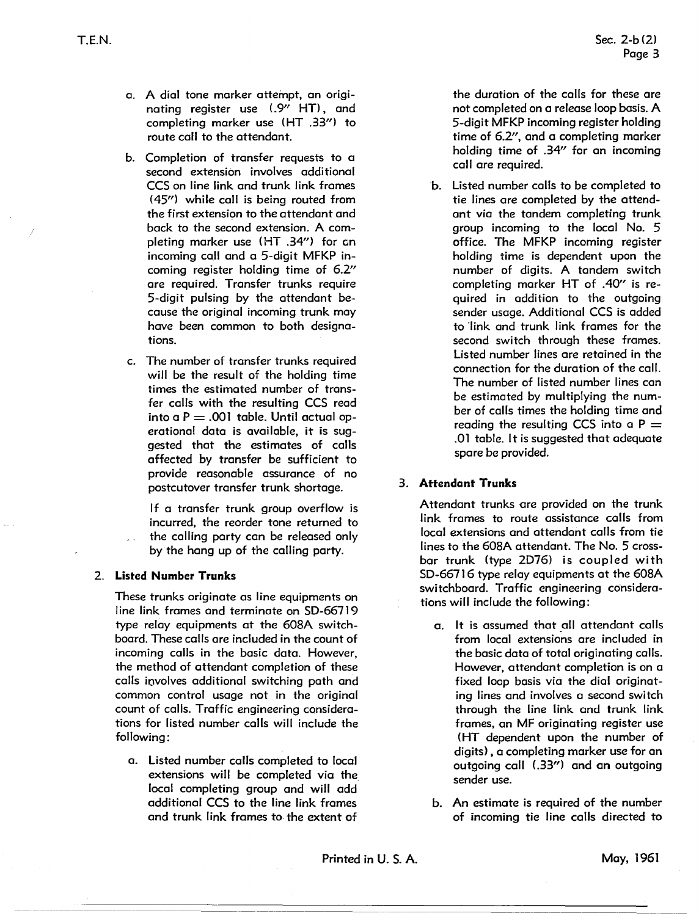- a. A dial tone marker attempt, an originating register use (.9" HT), and completing marker use (HT .33") to route call to the attendant.
- b. Completion of transfer requests to a second extension involves additional CCS on line link and trunk link frames (45") while call is being routed from the first extension to the attendant and back to the second extension. A completing marker use (HT .34") for an incoming call and a 5-digit MFKP incoming register holding time of 6.2" are required. Transfer trunks require 5-digit pulsing by the attendant because the original incoming trunk may have been common to both designations.
- c. The number of transfer trunks required will be the result of the holding time times the estimated number of transfer calls with the resulting CCS read into a  $P = .001$  table. Until actual operational data is available, it is suggested that the estimates of calls affected by transfer be sufficient to provide reasonable assurance of no postcutover transfer trunk shortage.

If a transfer trunk group overflow is incurred, the reorder tone returned to the calling party can be released only by the hang up of the calling party.

#### 2. **Listed Number Trunks**

These trunks originate as line equipments on line link frames and terminate on SD-66719 type relay equipments at the 608A switchboard. These calls are included in the count of incoming calls in the basic data. However, the method of attendant completion of these calls involves additional switching path and common control usage not in the original count of calls. Traffic engineering considerations for listed number calls will include the following:

a. Listed number calls completed to local extensions will be completed via the local completing group and will add additional CCS to the line link frames and trunk link frames to the extent of

the duration of the calls for these are not completed on a release loop basis. A 5-digit MFKP incoming register holding time of 6.2'', and a completing marker holding time of .34" for an incoming call are required.

h. Listed number calls to be completed to tie lines are completed by the attendant via the tandem completing trunk group incoming to the local No. 5 office. The MFKP incoming register holding time is dependent upon the number of digits. A tandem switch completing marker HT of .40'' is required in addition to the outgoing sender usage. Additional CCS is added to link and trunk link frames for the second switch through these frames. Listed number lines are retained in the connection for the duration of the call. The number of listed number lines can be estimated by multiplying the number of calls times the holding time and reading the resulting CCS into a  $P =$ .01 table. It is suggested that adequate spare be provided.

#### 3. **Attendant Trunks**

Attendant trunks are provided on the trunk link frames to route assistance calls from local extensions and attendant calls from tie lines to the 608A attendant. The No. 5 crossbar trunk (type 2D76) is coupled with SD-66716 type relay equipments at the 608A switchboard. Traffic engineering considerations will include the following:

- a. It is assumed that all attendant calls from local extensions are included in the basic data of total originating calls. However, attendant completion is on a fixed loop basis via the dial originating lines and involves a second switch through the line link and trunk link frames, an MF originating register use ( HT dependent upon the number of digits) , a completing marker use for an outgoing call (.33") and an outgoing sender use.
- b. An estimate is required of the number of incoming tie line calls directed to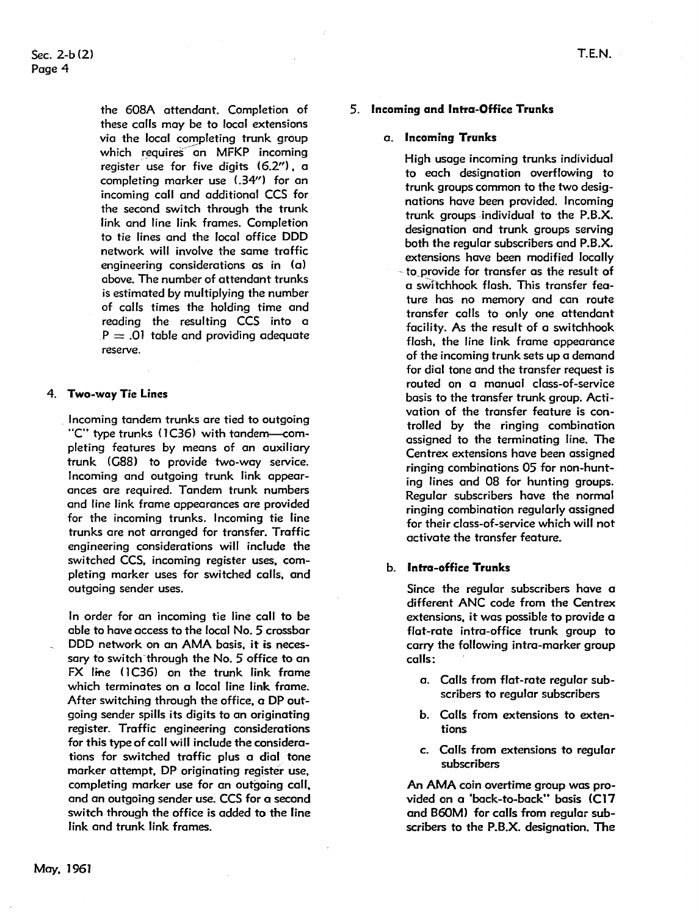the 608A attendant. Completion of these calls may be to local extensions via the local completing trunk group which requires an MFKP incoming register use for five digits (6.2"), a completing marker use (.34") for an incoming call and additional CCS for the second switch through the trunk link and line link frames. Completion to tie lines and the local office DDD network will involve the same traffic engineering considerations as in (a) above. The number of attendant trunks is estimated by multiplying the number of calls times the holding time and reading the resulting CCS into a  $P = .01$  table and providing adequate reserve.

#### 4. **Two-way Tie Lines**

Incoming tandem trunks are tied to outgoing "C" type trunks (1C36) with tandem--completing features by means of an auxiliary trunk (G88) to provide two-way service. Incoming and outgoing trunk link appearances ore required. Tandem trunk numbers and line link frame appearances are provided for the incoming trunks. Incoming tie line trunks are not arranged for transfer. Traffic engineering considerations will include the switched CCS, incoming register uses, completing marker uses for switched calls, and outgoing sender uses.

In order for an incoming tie line coll to be able to have access to the local No. 5 crossbar DDD network on an AMA basis, it is necessary to switch 'through the No. 5 office to an FX line (1C36) on the trunk link frame which terminates on a local line link frame. After switching through the office, a DP outgoing sender spills its digits to an originating register. Traffic engineering considerations for this type of call will include the considerations for switched traffic plus a dial\_ tone marker attempt, DP originating register use, completing marker use for an outgoing call, and an outgoing sender use. CCS for a second switch through the office is added to the line link and trunk link frames.

#### 5. **Incoming and Intra-Office Trunks**

#### a. **Incoming Trunks**

High usage incoming trunks individual to each designation overflowing to trunk groups common to the two designations have been provided. Incoming trunk groups individual to the **P.B.X.**  designation and trunk groups serving both the regular subscribers and **P.B.X.**  extensions have been modified locally - to\_provide for transfer as the result of a sw1tchhook flash. This transfer feature has no memory and can route transfer calls to only one attendant facility. As the result of a switchhook flash, the line link frame appearance of the incoming trunk sets up a demand for dial tone and the transfer request is routed on a manual class-of-service basis to the transfer trunk group. Activation of the transfer feature is controlled by the ringing combination assigned to the terminating line. The Centrex extensions have been assigned ringing combinations 05 for non-hunting lines and 08 for hunting groups. Regular subscribers have the normal ringing combination regularly assigned for their class-of-service which will not activate the transfer feature.

#### b. **Intra-office Trunks**

Since the regular subscribers have a different ANC code from the Centrex extensions, it was possible to provide a flat-rate intra-office trunk group to carry the following intra-marker group calls:

- a. Calls from flat-rate regular subscribers to regular subscribers
- b. Calls from extensions to extentions
- c. Calls from extensions to regular subscribers

**An AMA** coin overtime group was provided on a 'back-to-back" basis (C17 and B60M) for calls from regular subscribers to the P.B.X. designation. The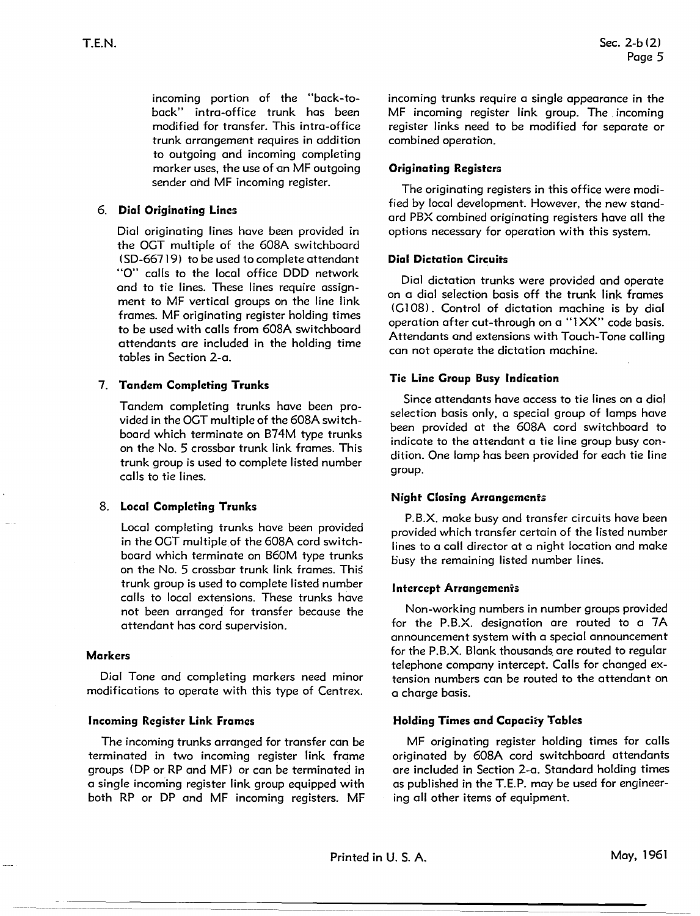incoming portion of the "back-toback" intra-office trunk has been modified for transfer. This intra-office trunk arrangement requires in addition to outgoing and incoming completing marker uses, the use of on MF outgoing sender and MF incoming register.

#### 6. **Dial Originating Lines**

Dial originating lines have been provided in the OCT multiple of the 608A switchboard ( SD-66719) to be used to complete attendant "O" calls to the local office DDD network and to tie lines. These lines require assignment to MF vertical groups on the line link frames. MF originating register holding times to be used with calls from 608A switchboard attendants are included in the holding time tables in Section 2-a.

# 7. **Tandem Completing Trunks**

Tandem completing trunks have been provided in the OCT multiple of the 608A switchboard which terminate on B74M type trunks on the No. 5 crossbar trunk link frames. This trunk group is used to complete listed number calls to tie lines.

# 8. **Local Completing Trunks**

Local completing trunks have been provided in the OCT multiple of the 608A cord switchboard which terminate on B60M type trunks on the No. 5 crossbar trunk link frames. This trunk group is used to complete listed number calls to local extensions. These trunks have not been arranged for transfer because the attendant has cord supervision.

#### **Markers**

Dial Tone and completing markers need minor modifications to operate with this type of Centrex.

#### **Incoming Register Link Frames**

The incoming trunks arranged for transfer can be terminated in two incoming register link frame groups (DP or RP and MF) or can be terminated in o single incoming register link group equipped with both RP or DP and MF incoming registers. MF incoming trunks require a single appearance in the MF incoming register link group. The incoming register links need to be modified for separate or combined operation.

### **Originating Registers**

The originating registers in this office were modified by local development. However, the new standard PBX combined originating registers have all the options necessary for operation with this system.

#### **Dial Dictation Circuits**

Dial dictation trunks were provided and operate on a dial selection basis off the trunk link frames (Cl08). Control of dictation machine is by dial operation after cut-through on a "l XX" code basis. Attendants and extensions with Touch-Tone calling can not operate the dictation machine.

#### **Tie Line Croup Busy Indication**

Since attendants have access to tie lines on a dial selection basis only, a special group of lamps have been provided at the 608A cord switchboard to indicate to the attendant a tie line group busy condition. One lamp has been provided for each tie line group.

#### **Night Closing Arrangements**

P.B.X. make busy and transfer circuits have been provided which transfer certain of the listed number lines to a call director at a night location and make busy the remaining listed number lines.

#### **Intercept Arrangemenrs**

Non-working numbers in number groups provided for the P.B.X. designation ore routed to a 7A announcement system with a special announcement for the P.B.X. Blank thousands. are routed to regular telephone company intercept. Calls for changed extension numbers can be routed to the attendant on a charge basis.

# **Holding Times and Capaciiy Tables**

MF originating register holding times for calls originated by 608A cord switchboard attendants are included in Section 2-a. Standard holding times as published in the T.E.P. may be used for engineering all other items of equipment.

Printed in U.S.A. May, 1961